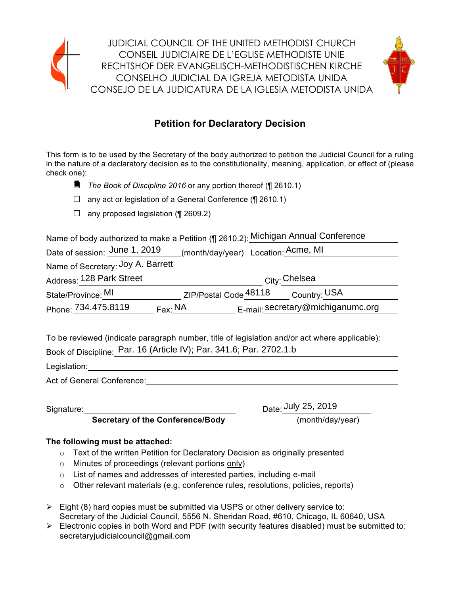

JUDICIAL COUNCIL OF THE UNITED METHODIST CHURCH CONSEIL JUDICIAIRE DE L'EGLISE METHODISTE UNIE RECHTSHOF DER EVANGELISCH-METHODISTISCHEN KIRCHE CONSELHO JUDICIAL DA IGREJA METODISTA UNIDA CONSEJO DE LA JUDICATURA DE LA IGLESIA METODISTA UNIDA



#### **Petition for Declaratory Decision**

This form is to be used by the Secretary of the body authorized to petition the Judicial Council for a ruling in the nature of a declaratory decision as to the constitutionality, meaning, application, or effect of (please check one):

- ☐ *The Book of Discipline <sup>2016</sup>* or any portion thereof (¶ 2610.1)
- $\Box$  any act or legislation of a General Conference (¶ 2610.1)
- $\Box$  any proposed legislation (¶ 2609.2)

Name of body authorized to make a Petition (¶ 2610.2): Michigan Annual Conference

| Date of session: June 1, 2019     | (month/day/year) Location: Acme, MI          |
|-----------------------------------|----------------------------------------------|
| Name of Secretary: Joy A. Barrett |                                              |
| Address: 128 Park Street          | City: Chelsea                                |
| State/Province: MI                | ZIP/Postal Code 48118<br>Country: USA        |
| Phone: 734.475.8119               | E-mail: secretary@michiganumc.org<br>Fax: NA |

To be reviewed (indicate paragraph number, title of legislation and/or act where applicable): Book of Discipline: Par. 16 (Article IV); Par. 341.6; Par. 2702.1.b 734.475.8119  $\qquad$  Fax:  $\frac{NA}{P}$  E-mail: secretary@michiganumc.org<br>Priewed (indicate paragraph number, title of legislation and/or act where applicable)<br>Discipline: Par. 16 (Article IV); Par. 341.6; Par. 2702.1.b

Legislation: Act of General Conference: Act of General Conference:

Signature:

Date:  $\frac{\text{July } 25, 2019}{(\text{month/day/year})}$ 

**Secretary of the Conference/Body** 

#### **The following must be attached:**

- $\circ$  Text of the written Petition for Declaratory Decision as originally presented
- o Minutes of proceedings (relevant portions only)
- o List of names and addresses of interested parties, including e-mail
- $\circ$  Other relevant materials (e.g. conference rules, resolutions, policies, reports)
- $\triangleright$  Eight (8) hard copies must be submitted via USPS or other delivery service to: Secretary of the Judicial Council, 5556 N. Sheridan Road, #610, Chicago, IL 60640, USA
- $\triangleright$  Electronic copies in both Word and PDF (with security features disabled) must be submitted to: secretaryjudicialcouncil@gmail.com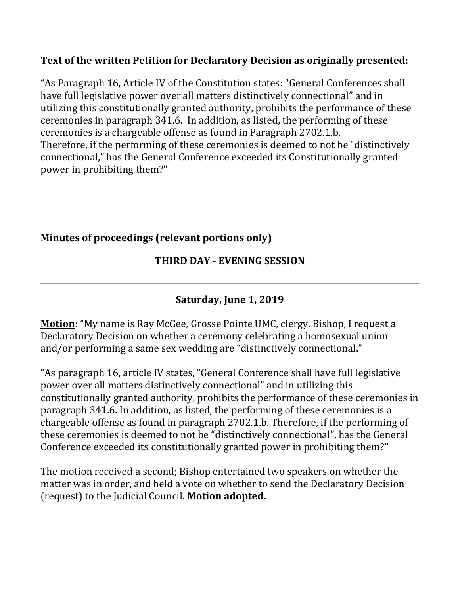#### **Text of the written Petition for Declaratory Decision as originally presented:**

"As Paragraph 16, Article IV of the Constitution states: "General Conferences shall have full legislative power over all matters distinctively connectional" and in utilizing this constitutionally granted authority, prohibits the performance of these ceremonies in paragraph 341.6. In addition, as listed, the performing of these ceremonies is a chargeable offense as found in Paragraph 2702.1.b. Therefore, if the performing of these ceremonies is deemed to not be "distinctively connectional," has the General Conference exceeded its Constitutionally granted power in prohibiting them?"

#### **Minutes of proceedings (relevant portions only)**

#### **THIRD DAY - EVENING SESSION**

### **Saturday, June 1, 2019**

**Motion**: "My name is Ray McGee, Grosse Pointe UMC, clergy. Bishop, I request a Declaratory Decision on whether a ceremony celebrating a homosexual union and/or performing a same sex wedding are "distinctively connectional."

"As paragraph 16, article IV states, "General Conference shall have full legislative power over all matters distinctively connectional" and in utilizing this constitutionally granted authority, prohibits the performance of these ceremonies in paragraph 341.6. In addition, as listed, the performing of these ceremonies is a chargeable offense as found in paragraph 2702.1.b. Therefore, if the performing of these ceremonies is deemed to not be "distinctively connectional", has the General Conference exceeded its constitutionally granted power in prohibiting them?"

The motion received a second; Bishop entertained two speakers on whether the matter was in order, and held a vote on whether to send the Declaratory Decision (request) to the Judicial Council. **Motion adopted.**